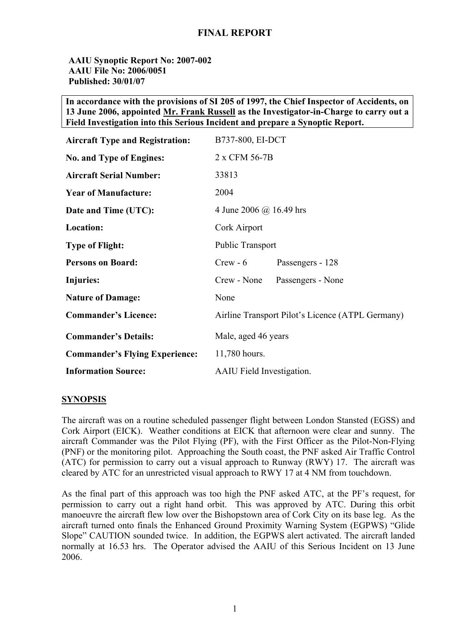#### **AAIU Synoptic Report No: 2007-002 AAIU File No: 2006/0051 Published: 30/01/07**

**In accordance with the provisions of SI 205 of 1997, the Chief Inspector of Accidents, on 13 June 2006, appointed Mr. Frank Russell as the Investigator-in-Charge to carry out a Field Investigation into this Serious Incident and prepare a Synoptic Report.** 

| <b>Aircraft Type and Registration:</b> | B737-800, EI-DCT                                 |
|----------------------------------------|--------------------------------------------------|
| No. and Type of Engines:               | 2 x CFM 56-7B                                    |
| <b>Aircraft Serial Number:</b>         | 33813                                            |
| <b>Year of Manufacture:</b>            | 2004                                             |
| Date and Time (UTC):                   | 4 June 2006 @ 16.49 hrs                          |
| Location:                              | Cork Airport                                     |
| <b>Type of Flight:</b>                 | <b>Public Transport</b>                          |
| <b>Persons on Board:</b>               | $Crew - 6$<br>Passengers - 128                   |
| <b>Injuries:</b>                       | Crew - None<br>Passengers - None                 |
| <b>Nature of Damage:</b>               | None                                             |
| <b>Commander's Licence:</b>            | Airline Transport Pilot's Licence (ATPL Germany) |
| <b>Commander's Details:</b>            | Male, aged 46 years                              |
| <b>Commander's Flying Experience:</b>  | 11,780 hours.                                    |
| <b>Information Source:</b>             | <b>AAIU</b> Field Investigation.                 |

#### **SYNOPSIS**

The aircraft was on a routine scheduled passenger flight between London Stansted (EGSS) and Cork Airport (EICK). Weather conditions at EICK that afternoon were clear and sunny. The aircraft Commander was the Pilot Flying (PF), with the First Officer as the Pilot-Non-Flying (PNF) or the monitoring pilot. Approaching the South coast, the PNF asked Air Traffic Control (ATC) for permission to carry out a visual approach to Runway (RWY) 17. The aircraft was cleared by ATC for an unrestricted visual approach to RWY 17 at 4 NM from touchdown.

As the final part of this approach was too high the PNF asked ATC, at the PF's request, for permission to carry out a right hand orbit. This was approved by ATC. During this orbit manoeuvre the aircraft flew low over the Bishopstown area of Cork City on its base leg. As the aircraft turned onto finals the Enhanced Ground Proximity Warning System (EGPWS) "Glide Slope" CAUTION sounded twice. In addition, the EGPWS alert activated. The aircraft landed normally at 16.53 hrs. The Operator advised the AAIU of this Serious Incident on 13 June 2006.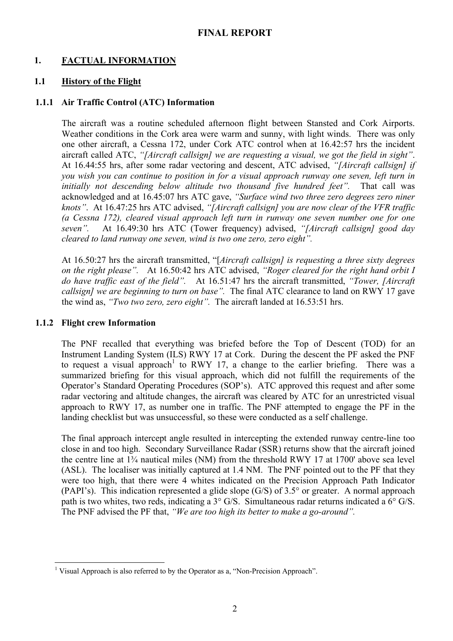## **1. FACTUAL INFORMATION**

#### **1.1 History of the Flight**

#### **1.1.1 Air Traffic Control (ATC) Information**

The aircraft was a routine scheduled afternoon flight between Stansted and Cork Airports. Weather conditions in the Cork area were warm and sunny, with light winds. There was only one other aircraft, a Cessna 172, under Cork ATC control when at 16.42:57 hrs the incident aircraft called ATC, *"[Aircraft callsign] we are requesting a visual, we got the field in sight"*. At 16.44:55 hrs, after some radar vectoring and descent, ATC advised, *"[Aircraft callsign] if you wish you can continue to position in for a visual approach runway one seven, left turn in initially not descending below altitude two thousand five hundred feet".* That call was acknowledged and at 16.45:07 hrs ATC gave, *"Surface wind two three zero degrees zero niner knots"*. At 16.47:25 hrs ATC advised, *"[Aircraft callsign] you are now clear of the VFR traffic (a Cessna 172), cleared visual approach left turn in runway one seven number one for one seven".* At 16.49:30 hrs ATC (Tower frequency) advised, *"[Aircraft callsign] good day cleared to land runway one seven, wind is two one zero, zero eight".* 

At 16.50:27 hrs the aircraft transmitted, "[*Aircraft callsign] is requesting a three sixty degrees on the right please".* At 16.50:42 hrs ATC advised, *"Roger cleared for the right hand orbit I do have traffic east of the field".* At 16.51:47 hrs the aircraft transmitted, *"Tower, [Aircraft callsign] we are beginning to turn on base".* The final ATC clearance to land on RWY 17 gave the wind as, *"Two two zero, zero eight".* The aircraft landed at 16.53:51 hrs.

#### **1.1.2 Flight crew Information**

The PNF recalled that everything was briefed before the Top of Descent (TOD) for an Instrument Landing System (ILS) RWY 17 at Cork. During the descent the PF asked the PNF to request a visual approach<sup>[1](#page-1-0)</sup> to RWY 17, a change to the earlier briefing. There was a summarized briefing for this visual approach, which did not fulfill the requirements of the Operator's Standard Operating Procedures (SOP's). ATC approved this request and after some radar vectoring and altitude changes, the aircraft was cleared by ATC for an unrestricted visual approach to RWY 17, as number one in traffic. The PNF attempted to engage the PF in the landing checklist but was unsuccessful, so these were conducted as a self challenge.

The final approach intercept angle resulted in intercepting the extended runway centre-line too close in and too high. Secondary Surveillance Radar (SSR) returns show that the aircraft joined the centre line at  $1\frac{3}{4}$  nautical miles (NM) from the threshold RWY 17 at 1700' above sea level (ASL). The localiser was initially captured at 1.4 NM. The PNF pointed out to the PF that they were too high, that there were 4 whites indicated on the Precision Approach Path Indicator (PAPI's). This indication represented a glide slope (G/S) of 3.5° or greater. A normal approach path is two whites, two reds, indicating a 3° G/S. Simultaneous radar returns indicated a 6° G/S. The PNF advised the PF that, *"We are too high its better to make a go-around".*

<span id="page-1-0"></span> $\overline{a}$ <sup>1</sup> Visual Approach is also referred to by the Operator as a, "Non-Precision Approach".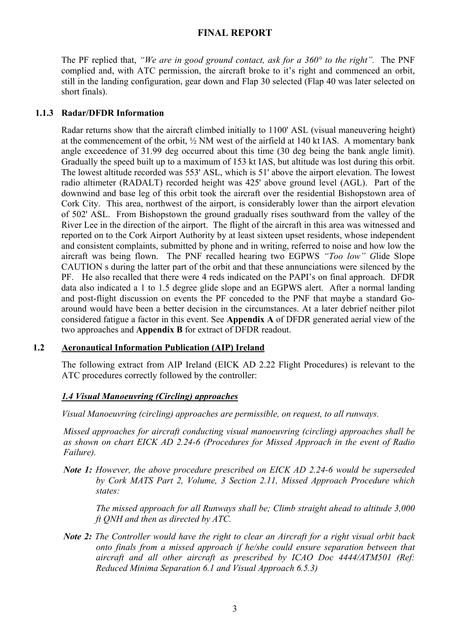The PF replied that, *"We are in good ground contact, ask for a 360° to the right".* The PNF complied and, with ATC permission, the aircraft broke to it's right and commenced an orbit, still in the landing configuration, gear down and Flap 30 selected (Flap 40 was later selected on short finals).

## **1.1.3 Radar/DFDR Information**

Radar returns show that the aircraft climbed initially to 1100' ASL (visual maneuvering height) at the commencement of the orbit, ½ NM west of the airfield at 140 kt IAS. A momentary bank angle exceedence of 31.99 deg occurred about this time (30 deg being the bank angle limit). Gradually the speed built up to a maximum of 153 kt IAS, but altitude was lost during this orbit. The lowest altitude recorded was 553' ASL, which is 51' above the airport elevation. The lowest radio altimeter (RADALT) recorded height was 425' above ground level (AGL). Part of the downwind and base leg of this orbit took the aircraft over the residential Bishopstown area of Cork City. This area, northwest of the airport, is considerably lower than the airport elevation of 502' ASL. From Bishopstown the ground gradually rises southward from the valley of the River Lee in the direction of the airport. The flight of the aircraft in this area was witnessed and reported on to the Cork Airport Authority by at least sixteen upset residents, whose independent and consistent complaints, submitted by phone and in writing, referred to noise and how low the aircraft was being flown. The PNF recalled hearing two EGPWS *"Too low" G*lide Slope CAUTION s during the latter part of the orbit and that these annunciations were silenced by the PF. He also recalled that there were 4 reds indicated on the PAPI's on final approach. DFDR data also indicated a 1 to 1.5 degree glide slope and an EGPWS alert. After a normal landing and post-flight discussion on events the PF conceded to the PNF that maybe a standard Goaround would have been a better decision in the circumstances. At a later debrief neither pilot considered fatigue a factor in this event. See **Appendix A** of DFDR generated aerial view of the two approaches and **Appendix B** for extract of DFDR readout.

## **1.2 Aeronautical Information Publication (AIP) Ireland**

The following extract from AIP Ireland (EICK AD 2.22 Flight Procedures) is relevant to the ATC procedures correctly followed by the controller:

## *1.4 Visual Manoeuvring (Circling) approaches*

*Visual Manoeuvring (circling) approaches are permissible, on request, to all runways.* 

*Missed approaches for aircraft conducting visual manoeuvring (circling) approaches shall be as shown on chart EICK AD 2.24-6 (Procedures for Missed Approach in the event of Radio Failure).*

*Note 1: However, the above procedure prescribed on EICK AD 2.24-6 would be superseded by Cork MATS Part 2, Volume, 3 Section 2.11, Missed Approach Procedure which states:* 

*The missed approach for all Runways shall be; Climb straight ahead to altitude 3,000 ft QNH and then as directed by ATC.* 

*Note 2: The Controller would have the right to clear an Aircraft for a right visual orbit back onto finals from a missed approach if he/she could ensure separation between that aircraft and all other aircraft as prescribed by ICAO Doc 4444/ATM501 (Ref: Reduced Minima Separation 6.1 and Visual Approach 6.5.3)*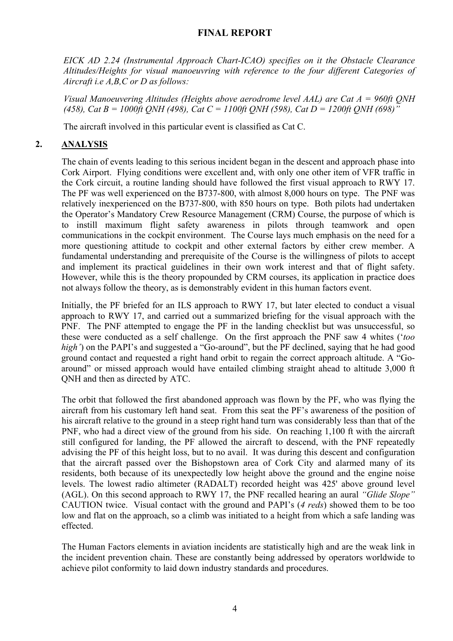*EICK AD 2.24 (Instrumental Approach Chart-ICAO) specifies on it the Obstacle Clearance Altitudes/Heights for visual manoeuvring with reference to the four different Categories of Aircraft i.e A,B,C or D as follows:* 

*Visual Manoeuvering Altitudes (Heights above aerodrome level AAL) are Cat A = 960ft QNH (458), Cat B = 1000ft QNH (498), Cat C = 1100ft QNH (598), Cat D = 1200ft QNH (698)"*

The aircraft involved in this particular event is classified as Cat C.

## **2. ANALYSIS**

The chain of events leading to this serious incident began in the descent and approach phase into Cork Airport. Flying conditions were excellent and, with only one other item of VFR traffic in the Cork circuit, a routine landing should have followed the first visual approach to RWY 17. The PF was well experienced on the B737-800, with almost 8,000 hours on type. The PNF was relatively inexperienced on the B737-800, with 850 hours on type. Both pilots had undertaken the Operator's Mandatory Crew Resource Management (CRM) Course, the purpose of which is to instill maximum flight safety awareness in pilots through teamwork and open communications in the cockpit environment. The Course lays much emphasis on the need for a more questioning attitude to cockpit and other external factors by either crew member. A fundamental understanding and prerequisite of the Course is the willingness of pilots to accept and implement its practical guidelines in their own work interest and that of flight safety. However, while this is the theory propounded by CRM courses, its application in practice does not always follow the theory, as is demonstrably evident in this human factors event.

Initially, the PF briefed for an ILS approach to RWY 17, but later elected to conduct a visual approach to RWY 17, and carried out a summarized briefing for the visual approach with the PNF. The PNF attempted to engage the PF in the landing checklist but was unsuccessful, so these were conducted as a self challenge. On the first approach the PNF saw 4 whites ('*too high'*) on the PAPI's and suggested a "Go-around", but the PF declined, saying that he had good ground contact and requested a right hand orbit to regain the correct approach altitude. A "Goaround" or missed approach would have entailed climbing straight ahead to altitude 3,000 ft QNH and then as directed by ATC.

The orbit that followed the first abandoned approach was flown by the PF, who was flying the aircraft from his customary left hand seat. From this seat the PF's awareness of the position of his aircraft relative to the ground in a steep right hand turn was considerably less than that of the PNF, who had a direct view of the ground from his side. On reaching 1,100 ft with the aircraft still configured for landing, the PF allowed the aircraft to descend, with the PNF repeatedly advising the PF of this height loss, but to no avail. It was during this descent and configuration that the aircraft passed over the Bishopstown area of Cork City and alarmed many of its residents, both because of its unexpectedly low height above the ground and the engine noise levels. The lowest radio altimeter (RADALT) recorded height was 425' above ground level (AGL). On this second approach to RWY 17, the PNF recalled hearing an aural *"Glide Slope"* CAUTION twice. Visual contact with the ground and PAPI's (*4 reds*) showed them to be too low and flat on the approach, so a climb was initiated to a height from which a safe landing was effected.

The Human Factors elements in aviation incidents are statistically high and are the weak link in the incident prevention chain. These are constantly being addressed by operators worldwide to achieve pilot conformity to laid down industry standards and procedures.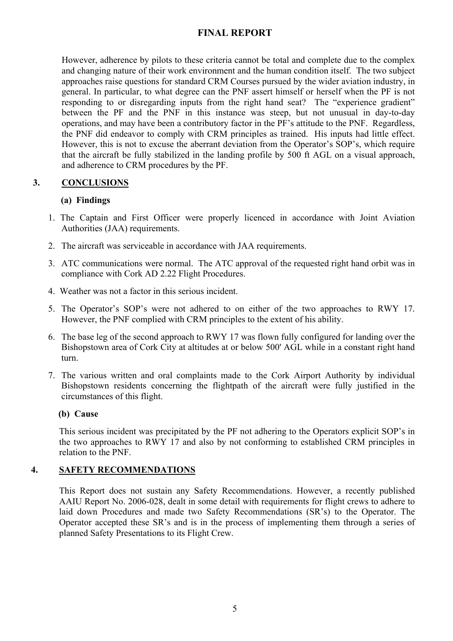However, adherence by pilots to these criteria cannot be total and complete due to the complex and changing nature of their work environment and the human condition itself. The two subject approaches raise questions for standard CRM Courses pursued by the wider aviation industry, in general. In particular, to what degree can the PNF assert himself or herself when the PF is not responding to or disregarding inputs from the right hand seat? The "experience gradient" between the PF and the PNF in this instance was steep, but not unusual in day-to-day operations, and may have been a contributory factor in the PF's attitude to the PNF. Regardless, the PNF did endeavor to comply with CRM principles as trained. His inputs had little effect. However, this is not to excuse the aberrant deviation from the Operator's SOP's, which require that the aircraft be fully stabilized in the landing profile by 500 ft AGL on a visual approach, and adherence to CRM procedures by the PF.

# **3. CONCLUSIONS**

## **(a) Findings**

- 1. The Captain and First Officer were properly licenced in accordance with Joint Aviation Authorities (JAA) requirements.
- 2. The aircraft was serviceable in accordance with JAA requirements.
- 3. ATC communications were normal. The ATC approval of the requested right hand orbit was in compliance with Cork AD 2.22 Flight Procedures.
- 4. Weather was not a factor in this serious incident.
- 5. The Operator's SOP's were not adhered to on either of the two approaches to RWY 17. However, the PNF complied with CRM principles to the extent of his ability.
- 6. The base leg of the second approach to RWY 17 was flown fully configured for landing over the Bishopstown area of Cork City at altitudes at or below 500' AGL while in a constant right hand turn.
- 7. The various written and oral complaints made to the Cork Airport Authority by individual Bishopstown residents concerning the flightpath of the aircraft were fully justified in the circumstances of this flight.

## **(b) Cause**

This serious incident was precipitated by the PF not adhering to the Operators explicit SOP's in the two approaches to RWY 17 and also by not conforming to established CRM principles in relation to the PNF.

## **4. SAFETY RECOMMENDATIONS**

This Report does not sustain any Safety Recommendations. However, a recently published AAIU Report No. 2006-028, dealt in some detail with requirements for flight crews to adhere to laid down Procedures and made two Safety Recommendations (SR's) to the Operator. The Operator accepted these SR's and is in the process of implementing them through a series of planned Safety Presentations to its Flight Crew.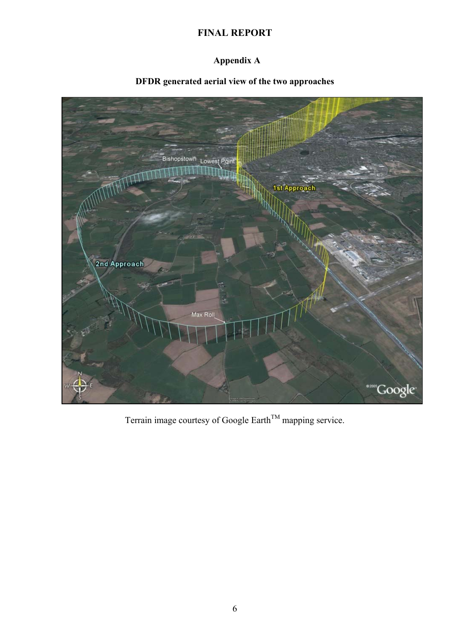# **Appendix A**

# **DFDR generated aerial view of the two approaches**



Terrain image courtesy of Google Earth<sup>TM</sup> mapping service.